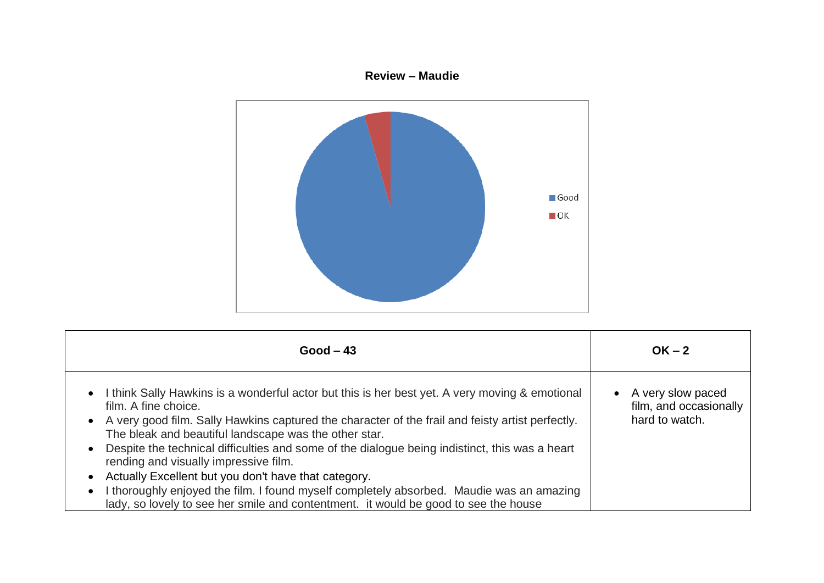## **Review – Maudie**



| $Good - 43$                                                                                                                                                                                                                                                                                                                                                                                                                                                                                                                                                                                                                                                                                                                                | $OK - 2$                                                      |
|--------------------------------------------------------------------------------------------------------------------------------------------------------------------------------------------------------------------------------------------------------------------------------------------------------------------------------------------------------------------------------------------------------------------------------------------------------------------------------------------------------------------------------------------------------------------------------------------------------------------------------------------------------------------------------------------------------------------------------------------|---------------------------------------------------------------|
| I think Sally Hawkins is a wonderful actor but this is her best yet. A very moving & emotional<br>$\bullet$<br>film. A fine choice.<br>A very good film. Sally Hawkins captured the character of the frail and feisty artist perfectly.<br>$\bullet$<br>The bleak and beautiful landscape was the other star.<br>Despite the technical difficulties and some of the dialogue being indistinct, this was a heart<br>$\bullet$<br>rending and visually impressive film.<br>Actually Excellent but you don't have that category.<br>$\bullet$<br>I thoroughly enjoyed the film. I found myself completely absorbed. Maudie was an amazing<br>$\bullet$<br>lady, so lovely to see her smile and contentment. it would be good to see the house | A very slow paced<br>film, and occasionally<br>hard to watch. |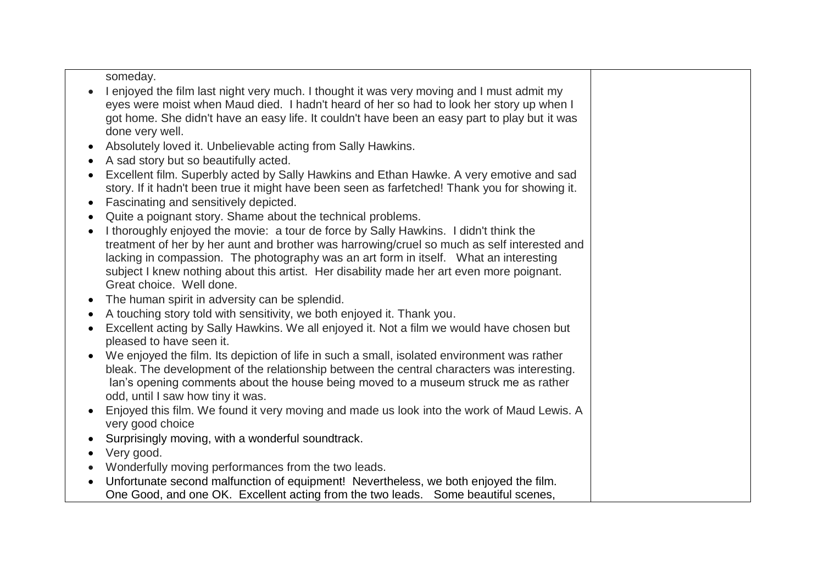someday.

- I enjoyed the film last night very much. I thought it was very moving and I must admit my eyes were moist when Maud died. I hadn't heard of her so had to look her story up when I got home. She didn't have an easy life. It couldn't have been an easy part to play but it was done very well.
- Absolutely loved it. Unbelievable acting from Sally Hawkins.
- A sad story but so beautifully acted.
- Excellent film. Superbly acted by Sally Hawkins and Ethan Hawke. A very emotive and sad story. If it hadn't been true it might have been seen as farfetched! Thank you for showing it.
- Fascinating and sensitively depicted.
- Quite a poignant story. Shame about the technical problems.
- I thoroughly enjoyed the movie: a tour de force by Sally Hawkins. I didn't think the treatment of her by her aunt and brother was harrowing/cruel so much as self interested and lacking in compassion. The photography was an art form in itself. What an interesting subject I knew nothing about this artist. Her disability made her art even more poignant. Great choice. Well done.
- The human spirit in adversity can be splendid.
- A touching story told with sensitivity, we both enjoyed it. Thank you.
- Excellent acting by Sally Hawkins. We all enjoyed it. Not a film we would have chosen but pleased to have seen it.
- We enjoyed the film. Its depiction of life in such a small, isolated environment was rather bleak. The development of the relationship between the central characters was interesting. Ian's opening comments about the house being moved to a museum struck me as rather odd, until I saw how tiny it was.
- Enjoyed this film. We found it very moving and made us look into the work of Maud Lewis. A very good choice
- Surprisingly moving, with a wonderful soundtrack.
- Very good.
- Wonderfully moving performances from the two leads.
- Unfortunate second malfunction of equipment! Nevertheless, we both enjoyed the film. One Good, and one OK. Excellent acting from the two leads. Some beautiful scenes,